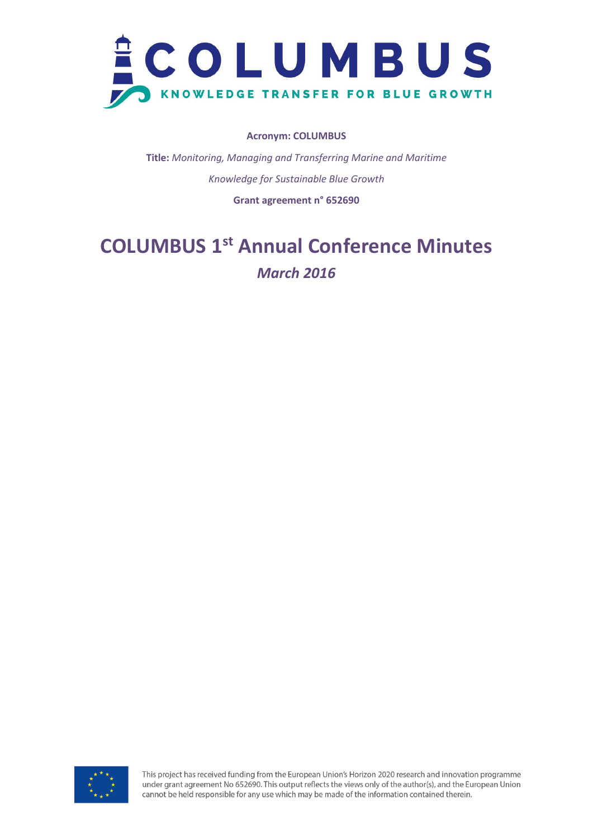

## **Acronym: COLUMBUS**

**Title:** *Monitoring, Managing and Transferring Marine and Maritime Knowledge for Sustainable Blue Growth*

**Grant agreement n° 652690**

# **COLUMBUS 1 st Annual Conference Minutes** *March 2016*

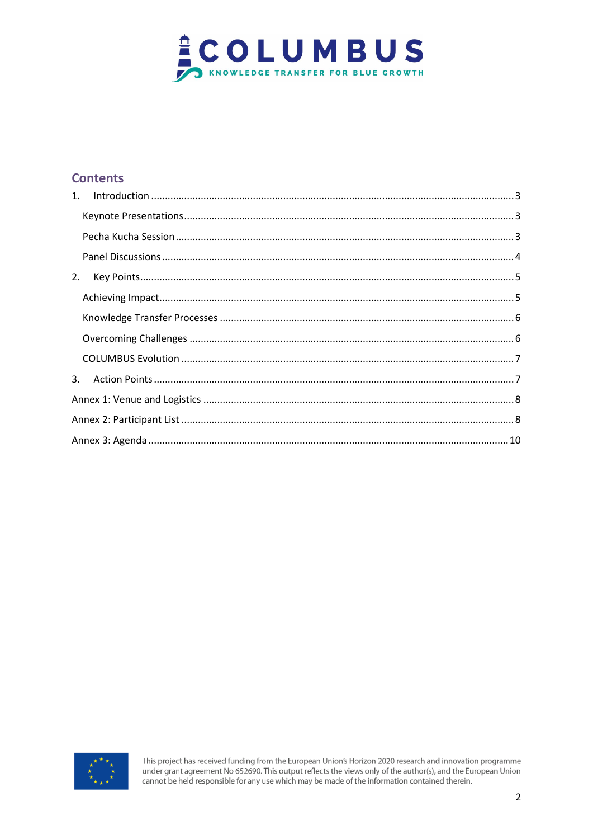

# **Contents**

| 2. |  |  |  |  |  |
|----|--|--|--|--|--|
|    |  |  |  |  |  |
|    |  |  |  |  |  |
|    |  |  |  |  |  |
|    |  |  |  |  |  |
| 3. |  |  |  |  |  |
|    |  |  |  |  |  |
|    |  |  |  |  |  |
|    |  |  |  |  |  |

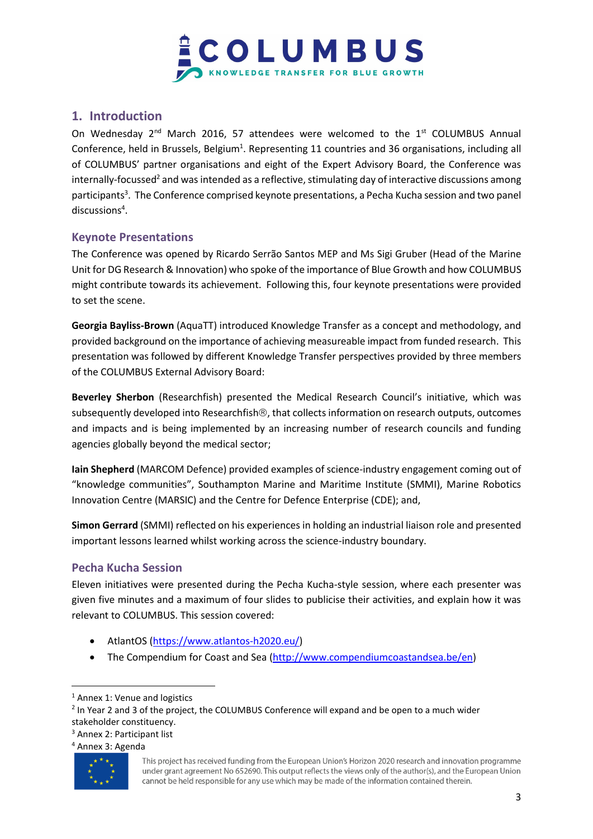

# <span id="page-2-0"></span>**1. Introduction**

On Wednesday  $2^{nd}$  March 2016, 57 attendees were welcomed to the  $1^{st}$  COLUMBUS Annual Conference, held in Brussels, Belgium<sup>1</sup>. Representing 11 countries and 36 organisations, including all of COLUMBUS' partner organisations and eight of the Expert Advisory Board, the Conference was internally-focussed<sup>2</sup> and was intended as a reflective, stimulating day of interactive discussions among participants<sup>3</sup>. The Conference comprised keynote presentations, a Pecha Kucha session and two panel discussions<sup>4</sup>.

## <span id="page-2-1"></span>**Keynote Presentations**

The Conference was opened by Ricardo Serrão Santos MEP and Ms Sigi Gruber (Head of the Marine Unit for DG Research & Innovation) who spoke of the importance of Blue Growth and how COLUMBUS might contribute towards its achievement. Following this, four keynote presentations were provided to set the scene.

**Georgia Bayliss-Brown** (AquaTT) introduced Knowledge Transfer as a concept and methodology, and provided background on the importance of achieving measureable impact from funded research. This presentation was followed by different Knowledge Transfer perspectives provided by three members of the COLUMBUS External Advisory Board:

**Beverley Sherbon** (Researchfish) presented the Medical Research Council's initiative, which was subsequently developed into Researchfish $\mathcal{R}$ , that collects information on research outputs, outcomes and impacts and is being implemented by an increasing number of research councils and funding agencies globally beyond the medical sector;

**Iain Shepherd** (MARCOM Defence) provided examples of science-industry engagement coming out of "knowledge communities", Southampton Marine and Maritime Institute (SMMI), Marine Robotics Innovation Centre (MARSIC) and the Centre for Defence Enterprise (CDE); and,

**Simon Gerrard** (SMMI) reflected on his experiences in holding an industrial liaison role and presented important lessons learned whilst working across the science-industry boundary.

## <span id="page-2-2"></span>**Pecha Kucha Session**

Eleven initiatives were presented during the Pecha Kucha-style session, where each presenter was given five minutes and a maximum of four slides to publicise their activities, and explain how it was relevant to COLUMBUS. This session covered:

- AtlantOS [\(https://www.atlantos-h2020.eu/\)](https://www.atlantos-h2020.eu/)
- The Compendium for Coast and Sea [\(http://www.compendiumcoastandsea.be/en\)](http://www.compendiumcoastandsea.be/en)

<sup>4</sup> Annex 3: Agenda



 $\overline{a}$ 

<sup>&</sup>lt;sup>1</sup> Annex 1: Venue and logistics

<sup>&</sup>lt;sup>2</sup> In Year 2 and 3 of the project, the COLUMBUS Conference will expand and be open to a much wider stakeholder constituency.

<sup>3</sup> Annex 2: Participant list

This project has received funding from the European Union's Horizon 2020 research and innovation programme under grant agreement No 652690. This output reflects the views only of the author(s), and the European Union cannot be held responsible for any use which may be made of the information contained therein.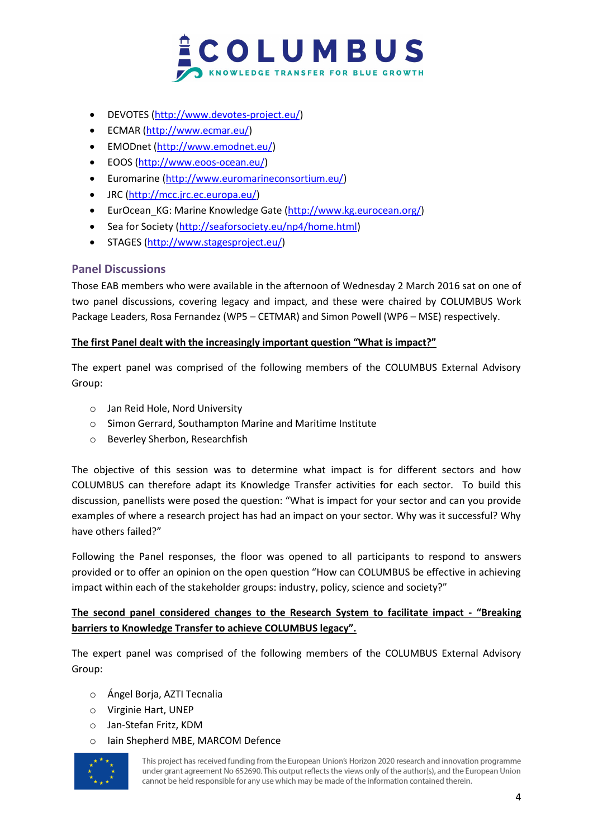

- DEVOTES [\(http://www.devotes-project.eu/\)](http://www.devotes-project.eu/)
- ECMAR [\(http://www.ecmar.eu/\)](http://www.ecmar.eu/)
- EMODnet [\(http://www.emodnet.eu/\)](http://www.emodnet.eu/)
- EOOS [\(http://www.eoos-ocean.eu/\)](http://www.eoos-ocean.eu/)
- Euromarine [\(http://www.euromarineconsortium.eu/\)](http://www.euromarineconsortium.eu/)
- JRC [\(http://mcc.jrc.ec.europa.eu/\)](http://mcc.jrc.ec.europa.eu/)
- EurOcean\_KG: Marine Knowledge Gate [\(http://www.kg.eurocean.org/\)](http://www.kg.eurocean.org/)
- Sea for Society [\(http://seaforsociety.eu/np4/home.html\)](http://seaforsociety.eu/np4/home.html)
- STAGES [\(http://www.stagesproject.eu/\)](http://www.stagesproject.eu/)

## <span id="page-3-0"></span>**Panel Discussions**

Those EAB members who were available in the afternoon of Wednesday 2 March 2016 sat on one of two panel discussions, covering legacy and impact, and these were chaired by COLUMBUS Work Package Leaders, Rosa Fernandez (WP5 – CETMAR) and Simon Powell (WP6 – MSE) respectively.

## **The first Panel dealt with the increasingly important question "What is impact?"**

The expert panel was comprised of the following members of the COLUMBUS External Advisory Group:

- o Jan Reid Hole, Nord University
- o Simon Gerrard, Southampton Marine and Maritime Institute
- o Beverley Sherbon, Researchfish

The objective of this session was to determine what impact is for different sectors and how COLUMBUS can therefore adapt its Knowledge Transfer activities for each sector. To build this discussion, panellists were posed the question: "What is impact for your sector and can you provide examples of where a research project has had an impact on your sector. Why was it successful? Why have others failed?"

Following the Panel responses, the floor was opened to all participants to respond to answers provided or to offer an opinion on the open question "How can COLUMBUS be effective in achieving impact within each of the stakeholder groups: industry, policy, science and society?"

## **The second panel considered changes to the Research System to facilitate impact - "Breaking barriers to Knowledge Transfer to achieve COLUMBUS legacy".**

The expert panel was comprised of the following members of the COLUMBUS External Advisory Group:

- o Ángel Borja, AZTI Tecnalia
- o Virginie Hart, UNEP
- o Jan-Stefan Fritz, KDM
- o Iain Shepherd MBE, MARCOM Defence

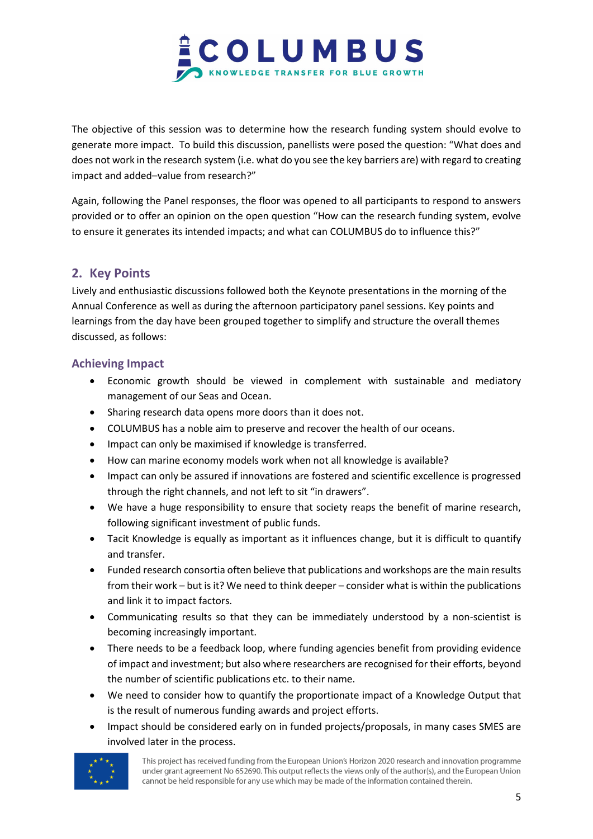

The objective of this session was to determine how the research funding system should evolve to generate more impact. To build this discussion, panellists were posed the question: "What does and does not work in the research system (i.e. what do you see the key barriers are) with regard to creating impact and added–value from research?"

Again, following the Panel responses, the floor was opened to all participants to respond to answers provided or to offer an opinion on the open question "How can the research funding system, evolve to ensure it generates its intended impacts; and what can COLUMBUS do to influence this?"

# <span id="page-4-0"></span>**2. Key Points**

Lively and enthusiastic discussions followed both the Keynote presentations in the morning of the Annual Conference as well as during the afternoon participatory panel sessions. Key points and learnings from the day have been grouped together to simplify and structure the overall themes discussed, as follows:

## <span id="page-4-1"></span>**Achieving Impact**

- Economic growth should be viewed in complement with sustainable and mediatory management of our Seas and Ocean.
- Sharing research data opens more doors than it does not.
- COLUMBUS has a noble aim to preserve and recover the health of our oceans.
- Impact can only be maximised if knowledge is transferred.
- How can marine economy models work when not all knowledge is available?
- Impact can only be assured if innovations are fostered and scientific excellence is progressed through the right channels, and not left to sit "in drawers".
- We have a huge responsibility to ensure that society reaps the benefit of marine research, following significant investment of public funds.
- Tacit Knowledge is equally as important as it influences change, but it is difficult to quantify and transfer.
- Funded research consortia often believe that publications and workshops are the main results from their work – but is it? We need to think deeper – consider what is within the publications and link it to impact factors.
- Communicating results so that they can be immediately understood by a non-scientist is becoming increasingly important.
- There needs to be a feedback loop, where funding agencies benefit from providing evidence of impact and investment; but also where researchers are recognised for their efforts, beyond the number of scientific publications etc. to their name.
- We need to consider how to quantify the proportionate impact of a Knowledge Output that is the result of numerous funding awards and project efforts.
- Impact should be considered early on in funded projects/proposals, in many cases SMES are involved later in the process.

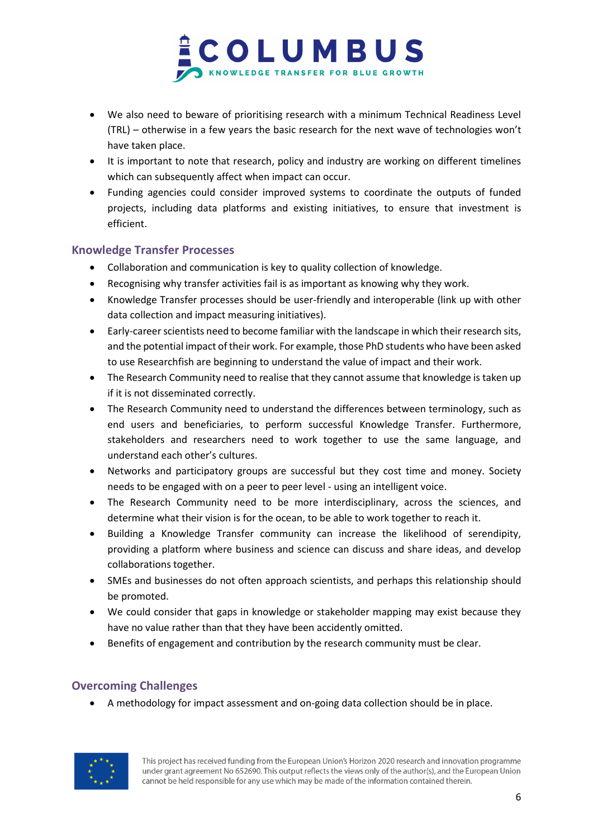

- We also need to beware of prioritising research with a minimum Technical Readiness Level (TRL) – otherwise in a few years the basic research for the next wave of technologies won't have taken place.
- It is important to note that research, policy and industry are working on different timelines which can subsequently affect when impact can occur.
- Funding agencies could consider improved systems to coordinate the outputs of funded projects, including data platforms and existing initiatives, to ensure that investment is efficient.

## <span id="page-5-0"></span>**Knowledge Transfer Processes**

- Collaboration and communication is key to quality collection of knowledge.
- Recognising why transfer activities fail is as important as knowing why they work.
- Knowledge Transfer processes should be user-friendly and interoperable (link up with other data collection and impact measuring initiatives).
- Early-career scientists need to become familiar with the landscape in which their research sits, and the potential impact of their work. For example, those PhD students who have been asked to use Researchfish are beginning to understand the value of impact and their work.
- The Research Community need to realise that they cannot assume that knowledge is taken up if it is not disseminated correctly.
- The Research Community need to understand the differences between terminology, such as end users and beneficiaries, to perform successful Knowledge Transfer. Furthermore, stakeholders and researchers need to work together to use the same language, and understand each other's cultures.
- Networks and participatory groups are successful but they cost time and money. Society needs to be engaged with on a peer to peer level - using an intelligent voice.
- The Research Community need to be more interdisciplinary, across the sciences, and determine what their vision is for the ocean, to be able to work together to reach it.
- Building a Knowledge Transfer community can increase the likelihood of serendipity, providing a platform where business and science can discuss and share ideas, and develop collaborations together.
- SMEs and businesses do not often approach scientists, and perhaps this relationship should be promoted.
- We could consider that gaps in knowledge or stakeholder mapping may exist because they have no value rather than that they have been accidently omitted.
- Benefits of engagement and contribution by the research community must be clear.

# <span id="page-5-1"></span>**Overcoming Challenges**

A methodology for impact assessment and on-going data collection should be in place.

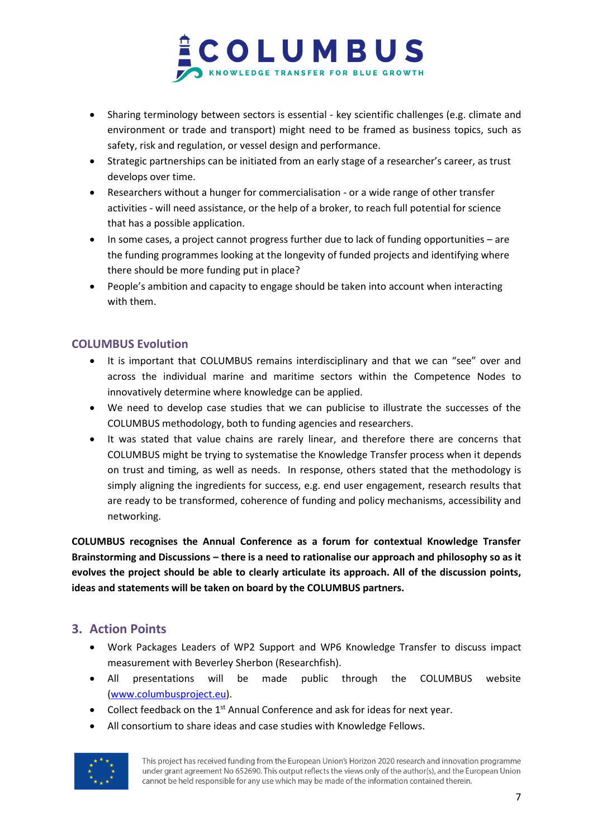

- Sharing terminology between sectors is essential key scientific challenges (e.g. climate and environment or trade and transport) might need to be framed as business topics, such as safety, risk and regulation, or vessel design and performance.
- Strategic partnerships can be initiated from an early stage of a researcher's career, as trust develops over time.
- Researchers without a hunger for commercialisation or a wide range of other transfer activities - will need assistance, or the help of a broker, to reach full potential for science that has a possible application.
- In some cases, a project cannot progress further due to lack of funding opportunities are the funding programmes looking at the longevity of funded projects and identifying where there should be more funding put in place?
- People's ambition and capacity to engage should be taken into account when interacting with them.

## <span id="page-6-0"></span>**COLUMBUS Evolution**

- It is important that COLUMBUS remains interdisciplinary and that we can "see" over and across the individual marine and maritime sectors within the Competence Nodes to innovatively determine where knowledge can be applied.
- We need to develop case studies that we can publicise to illustrate the successes of the COLUMBUS methodology, both to funding agencies and researchers.
- It was stated that value chains are rarely linear, and therefore there are concerns that COLUMBUS might be trying to systematise the Knowledge Transfer process when it depends on trust and timing, as well as needs. In response, others stated that the methodology is simply aligning the ingredients for success, e.g. end user engagement, research results that are ready to be transformed, coherence of funding and policy mechanisms, accessibility and networking.

**COLUMBUS recognises the Annual Conference as a forum for contextual Knowledge Transfer Brainstorming and Discussions – there is a need to rationalise our approach and philosophy so as it evolves the project should be able to clearly articulate its approach. All of the discussion points, ideas and statements will be taken on board by the COLUMBUS partners.** 

# <span id="page-6-1"></span>**3. Action Points**

- Work Packages Leaders of WP2 Support and WP6 Knowledge Transfer to discuss impact measurement with Beverley Sherbon (Researchfish).
- All presentations will be made public through the COLUMBUS website [\(www.columbusproject.eu\)](http://www.columbusproject.eu/).
- Collect feedback on the 1<sup>st</sup> Annual Conference and ask for ideas for next year.
- All consortium to share ideas and case studies with Knowledge Fellows.

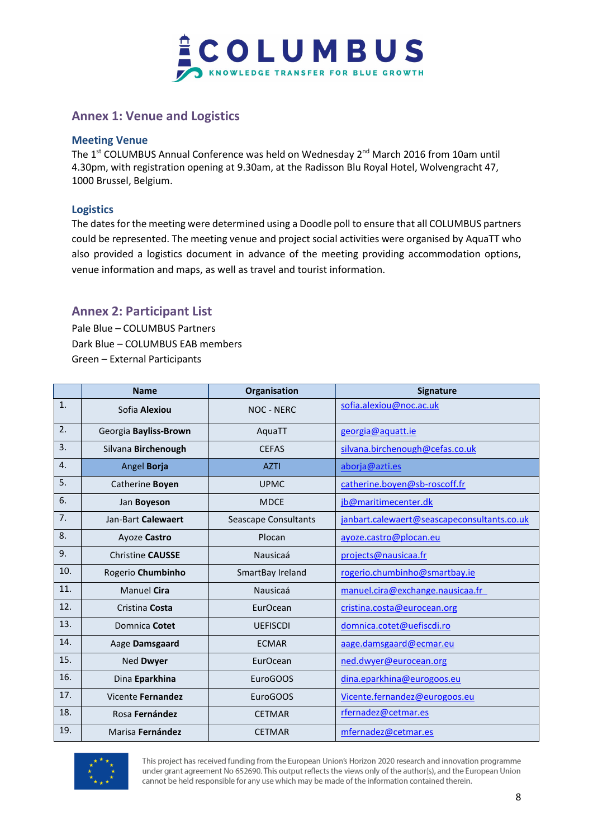

# <span id="page-7-0"></span>**Annex 1: Venue and Logistics**

## **Meeting Venue**

The 1<sup>st</sup> COLUMBUS Annual Conference was held on Wednesday 2<sup>nd</sup> March 2016 from 10am until 4.30pm, with registration opening at 9.30am, at the Radisson Blu Royal Hotel, Wolvengracht 47, 1000 Brussel, Belgium.

## **Logistics**

The dates for the meeting were determined using a Doodle poll to ensure that all COLUMBUS partners could be represented. The meeting venue and project social activities were organised by AquaTT who also provided a logistics document in advance of the meeting providing accommodation options, venue information and maps, as well as travel and tourist information.

## <span id="page-7-1"></span>**Annex 2: Participant List**

Pale Blue – COLUMBUS Partners Dark Blue – COLUMBUS EAB members Green – External Participants

|     | <b>Name</b>             | Organisation         | <b>Signature</b>                            |
|-----|-------------------------|----------------------|---------------------------------------------|
| 1.  | Sofia Alexiou           | <b>NOC - NERC</b>    | sofia.alexiou@noc.ac.uk                     |
| 2.  | Georgia Bayliss-Brown   | AquaTT               | georgia@aquatt.ie                           |
| 3.  | Silvana Birchenough     | <b>CEFAS</b>         | silvana.birchenough@cefas.co.uk             |
| 4.  | Angel Borja             | <b>AZTI</b>          | aborja@azti.es                              |
| 5.  | Catherine Boyen         | <b>UPMC</b>          | catherine.boyen@sb-roscoff.fr               |
| 6.  | Jan Boyeson             | <b>MDCE</b>          | jb@maritimecenter.dk                        |
| 7.  | Jan-Bart Calewaert      | Seascape Consultants | janbart.calewaert@seascapeconsultants.co.uk |
| 8.  | Ayoze Castro            | Plocan               | ayoze.castro@plocan.eu                      |
| 9.  | <b>Christine CAUSSE</b> | Nausicaá             | projects@nausicaa.fr                        |
| 10. | Rogerio Chumbinho       | SmartBay Ireland     | rogerio.chumbinho@smartbay.ie               |
| 11. | <b>Manuel Cira</b>      | Nausicaá             | manuel.cira@exchange.nausicaa.fr            |
| 12. | Cristina Costa          | EurOcean             | cristina.costa@eurocean.org                 |
| 13. | Domnica Cotet           | <b>UEFISCDI</b>      | domnica.cotet@uefiscdi.ro                   |
| 14. | Aage Damsgaard          | <b>ECMAR</b>         | aage.damsgaard@ecmar.eu                     |
| 15. | Ned Dwyer               | EurOcean             | ned.dwyer@eurocean.org                      |
| 16. | Dina Eparkhina          | EuroGOOS             | dina.eparkhina@eurogoos.eu                  |
| 17. | Vicente Fernandez       | EuroGOOS             | Vicente.fernandez@eurogoos.eu               |
| 18. | Rosa Fernández          | <b>CETMAR</b>        | rfernadez@cetmar.es                         |
| 19. | Marisa Fernández        | <b>CETMAR</b>        | mfernadez@cetmar.es                         |

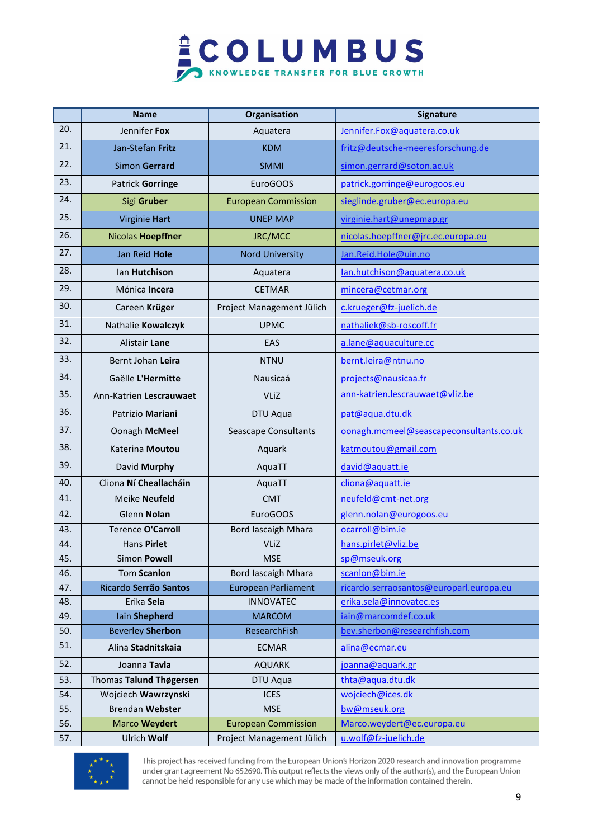

|     | <b>Name</b>              | Organisation               | Signature                               |
|-----|--------------------------|----------------------------|-----------------------------------------|
| 20. | Jennifer Fox             | Aquatera                   | Jennifer.Fox@aquatera.co.uk             |
| 21. | Jan-Stefan Fritz         | <b>KDM</b>                 | fritz@deutsche-meeresforschung.de       |
| 22. | Simon Gerrard            | <b>SMMI</b>                | simon.gerrard@soton.ac.uk               |
| 23. | Patrick Gorringe         | EuroGOOS                   | patrick.gorringe@eurogoos.eu            |
| 24. | Sigi Gruber              | <b>European Commission</b> | sieglinde.gruber@ec.europa.eu           |
| 25. | Virginie Hart            | <b>UNEP MAP</b>            | virginie.hart@unepmap.gr                |
| 26. | Nicolas Hoepffner        | JRC/MCC                    | nicolas.hoepffner@jrc.ec.europa.eu      |
| 27. | Jan Reid Hole            | <b>Nord University</b>     | Jan.Reid.Hole@uin.no                    |
| 28. | lan Hutchison            | Aquatera                   | lan.hutchison@aquatera.co.uk            |
| 29. | Mónica Incera            | <b>CETMAR</b>              | mincera@cetmar.org                      |
| 30. | Careen Krüger            | Project Management Jülich  | c.krueger@fz-juelich.de                 |
| 31. | Nathalie Kowalczyk       | <b>UPMC</b>                | nathaliek@sb-roscoff.fr                 |
| 32. | Alistair Lane            | EAS                        | a.lane@aquaculture.cc                   |
| 33. | Bernt Johan Leira        | <b>NTNU</b>                | bernt.leira@ntnu.no                     |
| 34. | Gaëlle L'Hermitte        | Nausicaá                   | projects@nausicaa.fr                    |
| 35. | Ann-Katrien Lescrauwaet  | <b>VLiZ</b>                | ann-katrien.lescrauwaet@vliz.be         |
| 36. | Patrizio Mariani         | DTU Aqua                   | pat@aqua.dtu.dk                         |
| 37. | Oonagh McMeel            | Seascape Consultants       | oonagh.mcmeel@seascapeconsultants.co.uk |
| 38. | Katerina Moutou          | Aquark                     | katmoutou@gmail.com                     |
| 39. | David Murphy             | AquaTT                     | david@aquatt.ie                         |
| 40. | Cliona Ní Cheallacháin   | AquaTT                     | cliona@aquatt.ie                        |
| 41. | Meike Neufeld            | <b>CMT</b>                 | neufeld@cmt-net.org                     |
| 42. | Glenn Nolan              | EuroGOOS                   | glenn.nolan@eurogoos.eu                 |
| 43. | <b>Terence O'Carroll</b> | <b>Bord lascaigh Mhara</b> | ocarroll@bim.ie                         |
| 44. | Hans Pirlet              | VLiZ                       | hans.pirlet@vliz.be                     |
| 45. | Simon Powell             | <b>MSE</b>                 | sp@mseuk.org                            |
| 46. | Tom Scanlon              | <b>Bord lascaigh Mhara</b> | scanlon@bim.ie                          |
| 47. | Ricardo Serrão Santos    | <b>European Parliament</b> | ricardo.serraosantos@europarl.europa.eu |
| 48. | Erika Sela               | <b>INNOVATEC</b>           | erika.sela@innovatec.es                 |
| 49. | lain Shepherd            | <b>MARCOM</b>              | jain@marcomdef.co.uk                    |
| 50. | <b>Beverley Sherbon</b>  | ResearchFish               | bev.sherbon@researchfish.com            |
| 51. | Alina Stadnitskaia       | <b>ECMAR</b>               | alina@ecmar.eu                          |
| 52. | Joanna Tavla             | <b>AQUARK</b>              | joanna@aquark.gr                        |
| 53. | Thomas Talund Thøgersen  | DTU Aqua                   | thta@aqua.dtu.dk                        |
| 54. | Wojciech Wawrzynski      | <b>ICES</b>                | wojciech@ices.dk                        |
| 55. | <b>Brendan Webster</b>   | <b>MSE</b>                 | bw@mseuk.org                            |
| 56. | Marco Weydert            | <b>European Commission</b> | Marco.weydert@ec.europa.eu              |
| 57. | Ulrich Wolf              | Project Management Jülich  | u.wolf@fz-juelich.de                    |